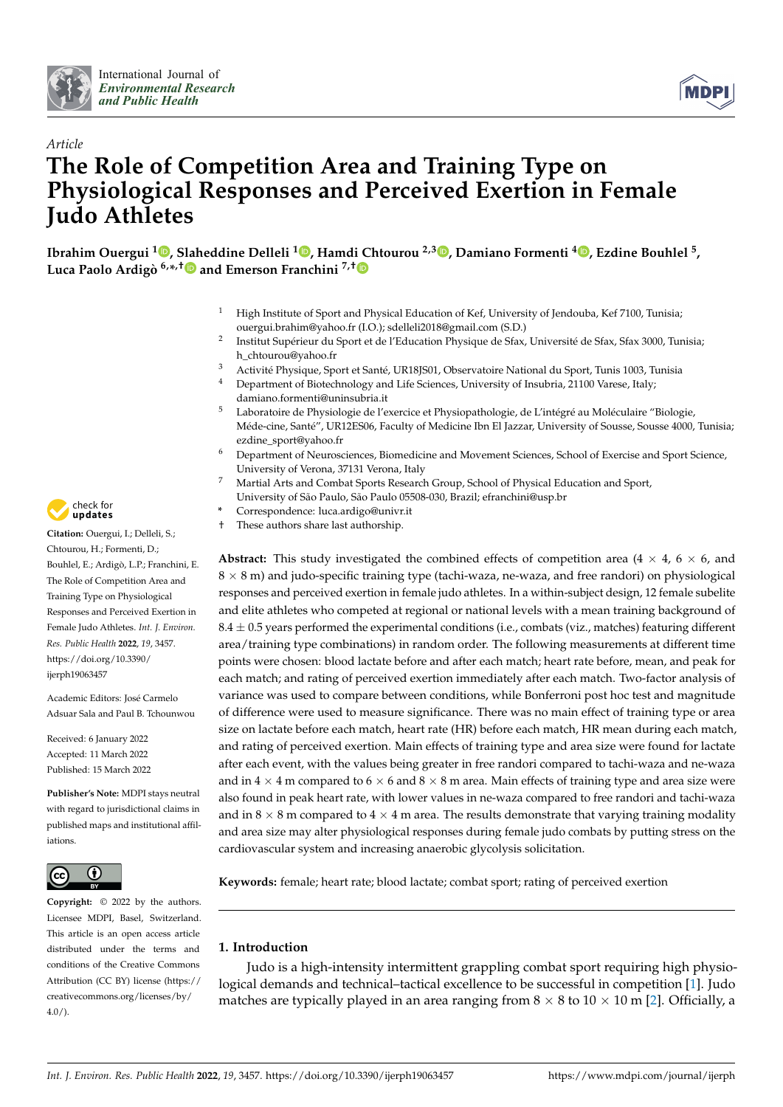



# *Article* **The Role of Competition Area and Training Type on Physiological Responses and Perceived Exertion in Female Judo Athletes**

[,](https://orcid.org/0000-0002-2941-937X)<sup>5</sup> Ibrahim Ouergui <sup>1</sup>D, [Slah](https://orcid.org/0000-0001-7677-5070)eddine Delleli <sup>1</sup>D, Hamd[i C](https://orcid.org/0000-0002-0769-8398)htourou <sup>2,[3](https://orcid.org/0000-0002-5482-9151)</sup>D, Damiano Formenti <sup>4</sup>D, Ezdine Bouhlel **Luca Paolo Ardigò 6,\* ,† and Emerson Franchini 7,†**

- <sup>1</sup> High Institute of Sport and Physical Education of Kef, University of Jendouba, Kef 7100, Tunisia; ouergui.brahim@yahoo.fr (I.O.); sdelleli2018@gmail.com (S.D.)
- 2 Institut Supérieur du Sport et de l'Education Physique de Sfax, Université de Sfax, Sfax 3000, Tunisia; h\_chtourou@yahoo.fr
- <sup>3</sup> Activité Physique, Sport et Santé, UR18JS01, Observatoire National du Sport, Tunis 1003, Tunisia<br><sup>4</sup> Department of Biotochnology and Life Sciences, University of Insulatio 21100 Varece, Italy.
- Department of Biotechnology and Life Sciences, University of Insubria, 21100 Varese, Italy; damiano.formenti@uninsubria.it
- <sup>5</sup> Laboratoire de Physiologie de l'exercice et Physiopathologie, de L'intégré au Moléculaire "Biologie, Méde-cine, Santé", UR12ES06, Faculty of Medicine Ibn El Jazzar, University of Sousse, Sousse 4000, Tunisia; ezdine\_sport@yahoo.fr
- <sup>6</sup> Department of Neurosciences, Biomedicine and Movement Sciences, School of Exercise and Sport Science, University of Verona, 37131 Verona, Italy
- <sup>7</sup> Martial Arts and Combat Sports Research Group, School of Physical Education and Sport, University of São Paulo, São Paulo 05508-030, Brazil; efranchini@usp.br
- **\*** Correspondence: luca.ardigo@univr.it
- † These authors share last authorship.

**Abstract:** This study investigated the combined effects of competition area ( $4 \times 4$ ,  $6 \times 6$ , and  $8 \times 8$  m) and judo-specific training type (tachi-waza, ne-waza, and free randori) on physiological responses and perceived exertion in female judo athletes. In a within-subject design, 12 female subelite and elite athletes who competed at regional or national levels with a mean training background of  $8.4 \pm 0.5$  years performed the experimental conditions (i.e., combats (viz., matches) featuring different area/training type combinations) in random order. The following measurements at different time points were chosen: blood lactate before and after each match; heart rate before, mean, and peak for each match; and rating of perceived exertion immediately after each match. Two-factor analysis of variance was used to compare between conditions, while Bonferroni post hoc test and magnitude of difference were used to measure significance. There was no main effect of training type or area size on lactate before each match, heart rate (HR) before each match, HR mean during each match, and rating of perceived exertion. Main effects of training type and area size were found for lactate after each event, with the values being greater in free randori compared to tachi-waza and ne-waza and in  $4 \times 4$  m compared to  $6 \times 6$  and  $8 \times 8$  m area. Main effects of training type and area size were also found in peak heart rate, with lower values in ne-waza compared to free randori and tachi-waza and in  $8 \times 8$  m compared to  $4 \times 4$  m area. The results demonstrate that varying training modality and area size may alter physiological responses during female judo combats by putting stress on the cardiovascular system and increasing anaerobic glycolysis solicitation.

**Keywords:** female; heart rate; blood lactate; combat sport; rating of perceived exertion

# **1. Introduction**

Judo is a high-intensity intermittent grappling combat sport requiring high physiological demands and technical–tactical excellence to be successful in competition [\[1\]](#page-6-0). Judo matches are typically played in an area ranging from  $8 \times 8$  to  $10 \times 10$  m [\[2\]](#page-6-1). Officially, a



**Citation:** Ouergui, I.; Delleli, S.; Chtourou, H.; Formenti, D.; Bouhlel, E.; Ardigò, L.P.; Franchini, E. The Role of Competition Area and Training Type on Physiological Responses and Perceived Exertion in Female Judo Athletes. *Int. J. Environ. Res. Public Health* **2022**, *19*, 3457. [https://doi.org/10.3390/](https://doi.org/10.3390/ijerph19063457) [ijerph19063457](https://doi.org/10.3390/ijerph19063457)

Academic Editors: José Carmelo Adsuar Sala and Paul B. Tchounwou

Received: 6 January 2022 Accepted: 11 March 2022 Published: 15 March 2022

**Publisher's Note:** MDPI stays neutral with regard to jurisdictional claims in published maps and institutional affiliations.



**Copyright:** © 2022 by the authors. Licensee MDPI, Basel, Switzerland. This article is an open access article distributed under the terms and conditions of the Creative Commons Attribution (CC BY) license [\(https://](https://creativecommons.org/licenses/by/4.0/) [creativecommons.org/licenses/by/](https://creativecommons.org/licenses/by/4.0/)  $4.0/$ ).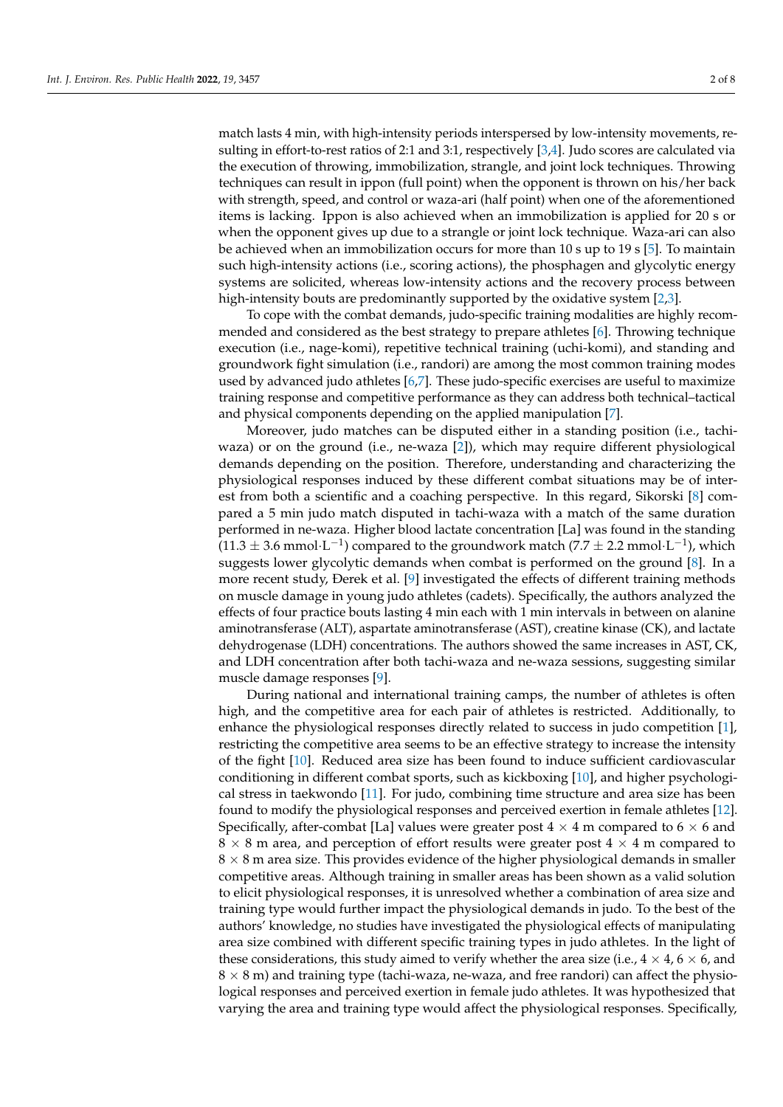match lasts 4 min, with high-intensity periods interspersed by low-intensity movements, resulting in effort-to-rest ratios of 2:1 and 3:1, respectively [\[3,](#page-7-0)[4\]](#page-7-1). Judo scores are calculated via the execution of throwing, immobilization, strangle, and joint lock techniques. Throwing techniques can result in ippon (full point) when the opponent is thrown on his/her back with strength, speed, and control or waza-ari (half point) when one of the aforementioned items is lacking. Ippon is also achieved when an immobilization is applied for 20 s or when the opponent gives up due to a strangle or joint lock technique. Waza-ari can also be achieved when an immobilization occurs for more than 10 s up to 19 s [\[5\]](#page-7-2). To maintain such high-intensity actions (i.e., scoring actions), the phosphagen and glycolytic energy systems are solicited, whereas low-intensity actions and the recovery process between high-intensity bouts are predominantly supported by the oxidative system [\[2](#page-6-1)[,3\]](#page-7-0).

To cope with the combat demands, judo-specific training modalities are highly recommended and considered as the best strategy to prepare athletes [\[6\]](#page-7-3). Throwing technique execution (i.e., nage-komi), repetitive technical training (uchi-komi), and standing and groundwork fight simulation (i.e., randori) are among the most common training modes used by advanced judo athletes [\[6](#page-7-3)[,7\]](#page-7-4). These judo-specific exercises are useful to maximize training response and competitive performance as they can address both technical–tactical and physical components depending on the applied manipulation [\[7\]](#page-7-4).

Moreover, judo matches can be disputed either in a standing position (i.e., tachiwaza) or on the ground (i.e., ne-waza [\[2\]](#page-6-1)), which may require different physiological demands depending on the position. Therefore, understanding and characterizing the physiological responses induced by these different combat situations may be of interest from both a scientific and a coaching perspective. In this regard, Sikorski [\[8\]](#page-7-5) compared a 5 min judo match disputed in tachi-waza with a match of the same duration performed in ne-waza. Higher blood lactate concentration [La] was found in the standing  $(11.3 \pm 3.6 \text{ mmol} \cdot \text{L}^{-1})$  compared to the groundwork match (7.7  $\pm$  2.2 mmol $\cdot$  L<sup>-1</sup>), which suggests lower glycolytic demands when combat is performed on the ground [\[8\]](#page-7-5). In a more recent study, Ðerek et al. [\[9\]](#page-7-6) investigated the effects of different training methods on muscle damage in young judo athletes (cadets). Specifically, the authors analyzed the effects of four practice bouts lasting 4 min each with 1 min intervals in between on alanine aminotransferase (ALT), aspartate aminotransferase (AST), creatine kinase (CK), and lactate dehydrogenase (LDH) concentrations. The authors showed the same increases in AST, CK, and LDH concentration after both tachi-waza and ne-waza sessions, suggesting similar muscle damage responses [\[9\]](#page-7-6).

During national and international training camps, the number of athletes is often high, and the competitive area for each pair of athletes is restricted. Additionally, to enhance the physiological responses directly related to success in judo competition [\[1\]](#page-6-0), restricting the competitive area seems to be an effective strategy to increase the intensity of the fight [\[10\]](#page-7-7). Reduced area size has been found to induce sufficient cardiovascular conditioning in different combat sports, such as kickboxing [\[10\]](#page-7-7), and higher psychological stress in taekwondo [\[11\]](#page-7-8). For judo, combining time structure and area size has been found to modify the physiological responses and perceived exertion in female athletes [\[12\]](#page-7-9). Specifically, after-combat [La] values were greater post  $4 \times 4$  m compared to  $6 \times 6$  and  $8 \times 8$  m area, and perception of effort results were greater post  $4 \times 4$  m compared to  $8 \times 8$  m area size. This provides evidence of the higher physiological demands in smaller competitive areas. Although training in smaller areas has been shown as a valid solution to elicit physiological responses, it is unresolved whether a combination of area size and training type would further impact the physiological demands in judo. To the best of the authors' knowledge, no studies have investigated the physiological effects of manipulating area size combined with different specific training types in judo athletes. In the light of these considerations, this study aimed to verify whether the area size (i.e.,  $4 \times 4$ ,  $6 \times 6$ , and  $8 \times 8$  m) and training type (tachi-waza, ne-waza, and free randori) can affect the physiological responses and perceived exertion in female judo athletes. It was hypothesized that varying the area and training type would affect the physiological responses. Specifically,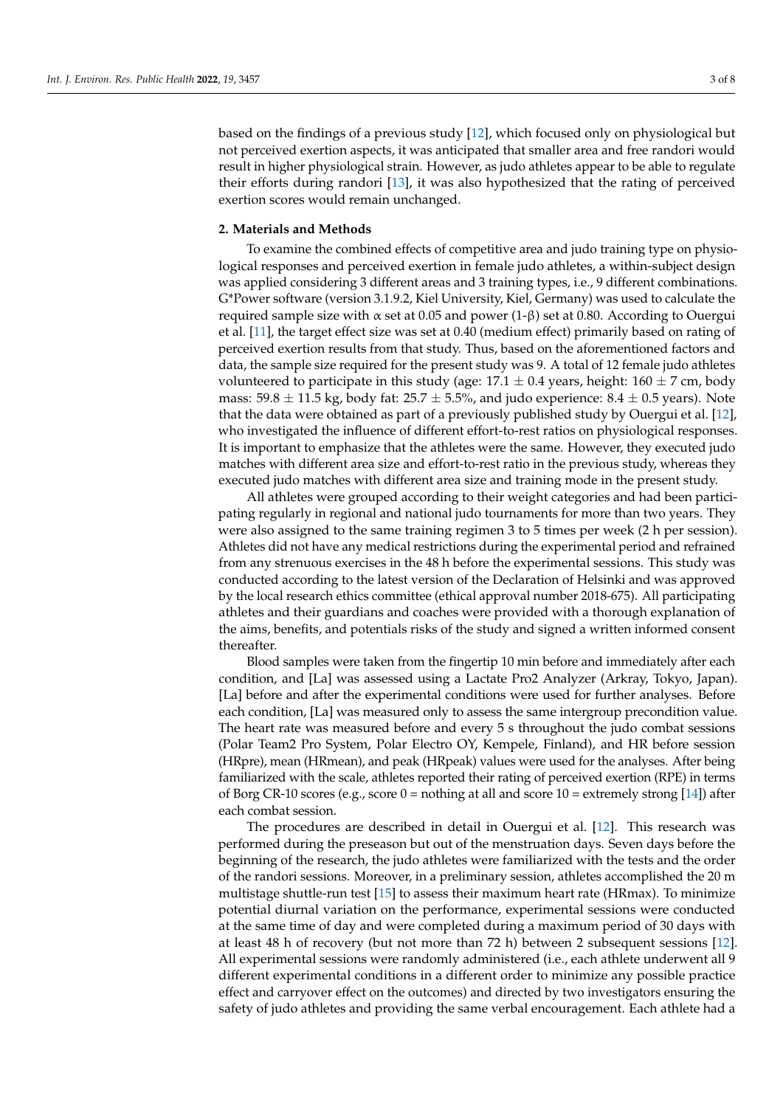based on the findings of a previous study [\[12\]](#page-7-9), which focused only on physiological but not perceived exertion aspects, it was anticipated that smaller area and free randori would result in higher physiological strain. However, as judo athletes appear to be able to regulate their efforts during randori [\[13\]](#page-7-10), it was also hypothesized that the rating of perceived exertion scores would remain unchanged.

## **2. Materials and Methods**

To examine the combined effects of competitive area and judo training type on physiological responses and perceived exertion in female judo athletes, a within-subject design was applied considering 3 different areas and 3 training types, i.e., 9 different combinations. G\*Power software (version 3.1.9.2, Kiel University, Kiel, Germany) was used to calculate the required sample size with α set at 0.05 and power  $(1-\beta)$  set at 0.80. According to Ouergui et al. [\[11\]](#page-7-8), the target effect size was set at 0.40 (medium effect) primarily based on rating of perceived exertion results from that study. Thus, based on the aforementioned factors and data, the sample size required for the present study was 9. A total of 12 female judo athletes volunteered to participate in this study (age:  $17.1 \pm 0.4$  years, height:  $160 \pm 7$  cm, body mass:  $59.8 \pm 11.5$  kg, body fat:  $25.7 \pm 5.5$ %, and judo experience:  $8.4 \pm 0.5$  years). Note that the data were obtained as part of a previously published study by Ouergui et al. [\[12\]](#page-7-9), who investigated the influence of different effort-to-rest ratios on physiological responses. It is important to emphasize that the athletes were the same. However, they executed judo matches with different area size and effort-to-rest ratio in the previous study, whereas they executed judo matches with different area size and training mode in the present study.

All athletes were grouped according to their weight categories and had been participating regularly in regional and national judo tournaments for more than two years. They were also assigned to the same training regimen 3 to 5 times per week (2 h per session). Athletes did not have any medical restrictions during the experimental period and refrained from any strenuous exercises in the 48 h before the experimental sessions. This study was conducted according to the latest version of the Declaration of Helsinki and was approved by the local research ethics committee (ethical approval number 2018-675). All participating athletes and their guardians and coaches were provided with a thorough explanation of the aims, benefits, and potentials risks of the study and signed a written informed consent thereafter.

Blood samples were taken from the fingertip 10 min before and immediately after each condition, and [La] was assessed using a Lactate Pro2 Analyzer (Arkray, Tokyo, Japan). [La] before and after the experimental conditions were used for further analyses. Before each condition, [La] was measured only to assess the same intergroup precondition value. The heart rate was measured before and every 5 s throughout the judo combat sessions (Polar Team2 Pro System, Polar Electro OY, Kempele, Finland), and HR before session (HRpre), mean (HRmean), and peak (HRpeak) values were used for the analyses. After being familiarized with the scale, athletes reported their rating of perceived exertion (RPE) in terms of Borg CR-10 scores (e.g., score  $0 =$  nothing at all and score  $10 =$  extremely strong [\[14\]](#page-7-11)) after each combat session.

The procedures are described in detail in Ouergui et al. [\[12\]](#page-7-9). This research was performed during the preseason but out of the menstruation days. Seven days before the beginning of the research, the judo athletes were familiarized with the tests and the order of the randori sessions. Moreover, in a preliminary session, athletes accomplished the 20 m multistage shuttle-run test [\[15\]](#page-7-12) to assess their maximum heart rate (HRmax). To minimize potential diurnal variation on the performance, experimental sessions were conducted at the same time of day and were completed during a maximum period of 30 days with at least 48 h of recovery (but not more than 72 h) between 2 subsequent sessions [\[12\]](#page-7-9). All experimental sessions were randomly administered (i.e., each athlete underwent all 9 different experimental conditions in a different order to minimize any possible practice effect and carryover effect on the outcomes) and directed by two investigators ensuring the safety of judo athletes and providing the same verbal encouragement. Each athlete had a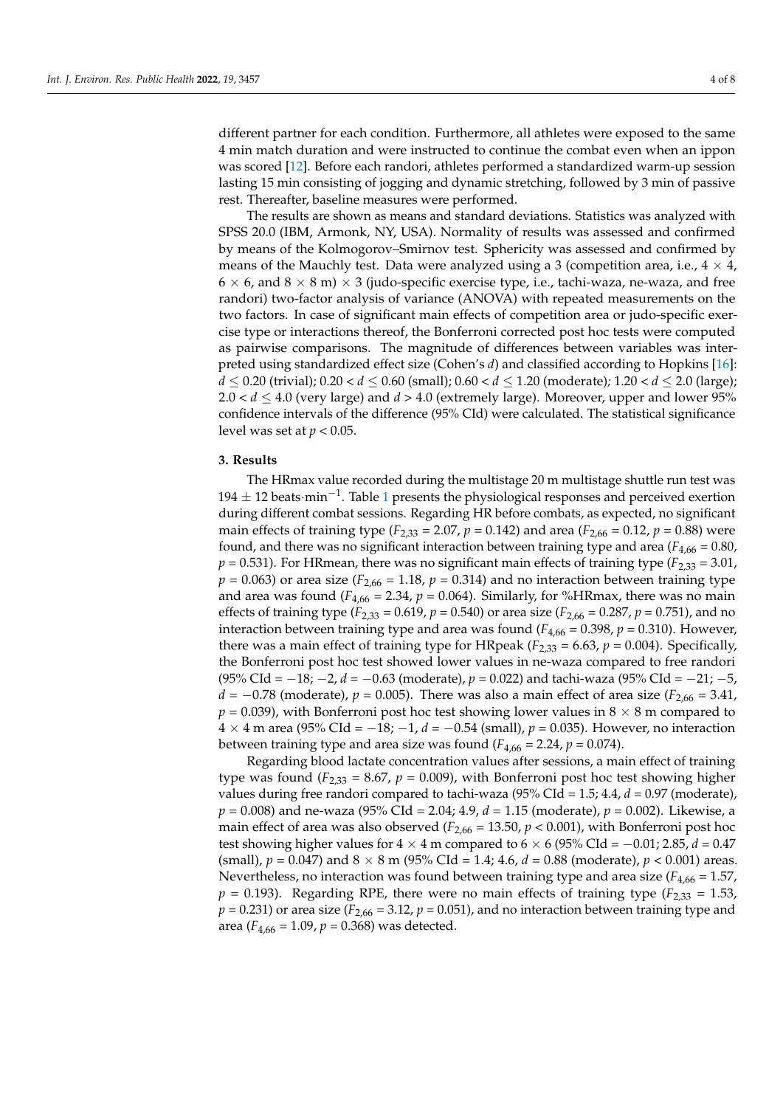different partner for each condition. Furthermore, all athletes were exposed to the same 4 min match duration and were instructed to continue the combat even when an ippon was scored [\[12\]](#page-7-9). Before each randori, athletes performed a standardized warm-up session lasting 15 min consisting of jogging and dynamic stretching, followed by 3 min of passive rest. Thereafter, baseline measures were performed.

The results are shown as means and standard deviations. Statistics was analyzed with SPSS 20.0 (IBM, Armonk, NY, USA). Normality of results was assessed and confirmed by means of the Kolmogorov–Smirnov test. Sphericity was assessed and confirmed by means of the Mauchly test. Data were analyzed using a 3 (competition area, i.e.,  $4 \times 4$ ,  $6 \times 6$ , and  $8 \times 8$  m)  $\times 3$  (judo-specific exercise type, i.e., tachi-waza, ne-waza, and free randori) two-factor analysis of variance (ANOVA) with repeated measurements on the two factors. In case of significant main effects of competition area or judo-specific exercise type or interactions thereof, the Bonferroni corrected post hoc tests were computed as pairwise comparisons. The magnitude of differences between variables was interpreted using standardized effect size (Cohen's *d*) and classified according to Hopkins [\[16\]](#page-7-13): *d*  $\le$  0.20 (trivial); 0.20  $\lt d \le$  0.60 (small); 0.60  $\lt d \le$  1.20 (moderate); 1.20  $\lt d \le$  2.0 (large);  $2.0 < d \le 4.0$  (very large) and  $d > 4.0$  (extremely large). Moreover, upper and lower 95% confidence intervals of the difference (95% CId) were calculated. The statistical significance level was set at  $p < 0.05$ .

### **3. Results**

The HRmax value recorded during the multistage 20 m multistage shuttle run test was 194 ± 12 beats·min−<sup>1</sup> . Table [1](#page-4-0) presents the physiological responses and perceived exertion during different combat sessions. Regarding HR before combats, as expected, no significant main effects of training type ( $F_{2,33}$  = 2.07,  $p$  = 0.142) and area ( $F_{2,66}$  = 0.12,  $p$  = 0.88) were found, and there was no significant interaction between training type and area ( $F_{4,66} = 0.80$ ,  $p = 0.531$ ). For HRmean, there was no significant main effects of training type ( $F_{2,33} = 3.01$ ,  $p = 0.063$ ) or area size ( $F_{2,66} = 1.18$ ,  $p = 0.314$ ) and no interaction between training type and area was found  $(F_{4,66} = 2.34, p = 0.064)$ . Similarly, for %HRmax, there was no main effects of training type ( $F_{2,33} = 0.619$ ,  $p = 0.540$ ) or area size ( $F_{2,66} = 0.287$ ,  $p = 0.751$ ), and no interaction between training type and area was found  $(F_{4,66} = 0.398, p = 0.310)$ . However, there was a main effect of training type for HRpeak ( $F_{2,33} = 6.63$ ,  $p = 0.004$ ). Specifically, the Bonferroni post hoc test showed lower values in ne-waza compared to free randori (95% CId = −18; −2, *d* = −0.63 (moderate), *p* = 0.022) and tachi-waza (95% CId = −21; −5, *d* = −0.78 (moderate),  $p$  = 0.005). There was also a main effect of area size ( $F_{2,66}$  = 3.41,  $p = 0.039$ ), with Bonferroni post hoc test showing lower values in  $8 \times 8$  m compared to 4 × 4 m area (95% CId = −18; −1, *d* = −0.54 (small), *p* = 0.035). However, no interaction between training type and area size was found  $(F_{4,66} = 2.24, p = 0.074)$ .

Regarding blood lactate concentration values after sessions, a main effect of training type was found  $(F_{2,33} = 8.67, p = 0.009)$ , with Bonferroni post hoc test showing higher values during free randori compared to tachi-waza (95% CId = 1.5; 4.4, *d* = 0.97 (moderate), *p* = 0.008) and ne-waza (95% CId = 2.04; 4.9, *d* = 1.15 (moderate), *p* = 0.002). Likewise, a main effect of area was also observed  $(F_{2,66} = 13.50, p < 0.001)$ , with Bonferroni post hoc test showing higher values for  $4 \times 4$  m compared to  $6 \times 6$  (95% CId =  $-0.01$ ; 2.85,  $d = 0.47$ ) (small),  $p = 0.047$ ) and  $8 \times 8$  m (95% CId = 1.4; 4.6,  $d = 0.88$  (moderate),  $p < 0.001$ ) areas. Nevertheless, no interaction was found between training type and area size ( $F_{4,66}$  = 1.57,  $p = 0.193$ ). Regarding RPE, there were no main effects of training type ( $F_{2,33} = 1.53$ ,  $p = 0.231$ ) or area size ( $F_{2,66} = 3.12$ ,  $p = 0.051$ ), and no interaction between training type and area ( $F_{4,66} = 1.09$ ,  $p = 0.368$ ) was detected.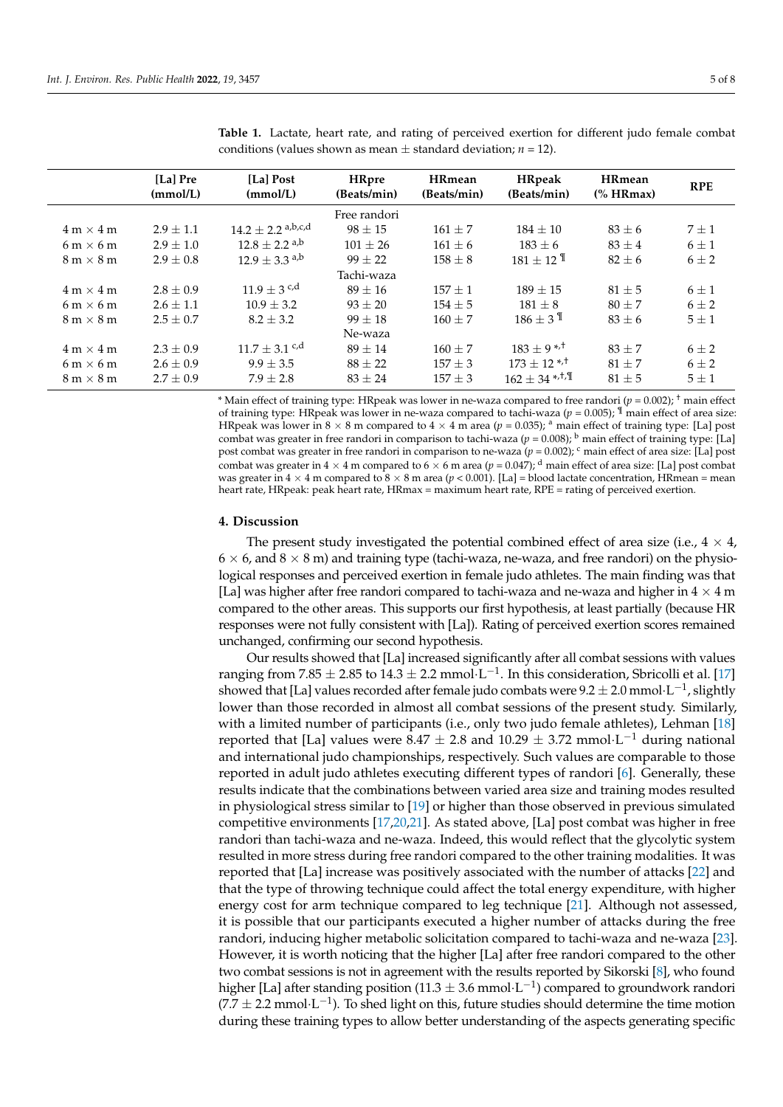|                                  | [La] Pre<br>(mmol/L) | [La] Post<br>(mmol/L)         | <b>HRpre</b><br>(Beats/min) | <b>HRmean</b><br>(Beats/min) | <b>HRpeak</b><br>(Beats/min)     | <b>HRmean</b><br>$%$ HRmax) | <b>RPE</b> |
|----------------------------------|----------------------|-------------------------------|-----------------------------|------------------------------|----------------------------------|-----------------------------|------------|
|                                  |                      |                               | Free randori                |                              |                                  |                             |            |
| $4 m \times 4 m$                 | $2.9 \pm 1.1$        | $14.2 \pm 2.2$ a,b,c,d        | $98 \pm 15$                 | $161 + 7$                    | $184 + 10$                       | $83 \pm 6$                  | $7 + 1$    |
| $6 \text{ m} \times 6 \text{ m}$ | $2.9 \pm 1.0$        | $12.8 \pm 2.2$ <sup>a,b</sup> | $101 \pm 26$                | $161 \pm 6$                  | $183 \pm 6$                      | $83 \pm 4$                  | $6 \pm 1$  |
| $8 \text{ m} \times 8 \text{ m}$ | $2.9 + 0.8$          | $12.9 \pm 3.3$ <sup>a,b</sup> | $99 + 22$                   | $158 \pm 8$                  | $181 + 12$ <sup>II</sup>         | $82 + 6$                    | $6\pm 2$   |
|                                  |                      |                               | Tachi-waza                  |                              |                                  |                             |            |
| $4 m \times 4 m$                 | $2.8 \pm 0.9$        | $11.9 \pm 3$ c,d              | $89 \pm 16$                 | $157 + 1$                    | $189 + 15$                       | $81 \pm 5$                  | $6 \pm 1$  |
| $6 \text{ m} \times 6 \text{ m}$ | $2.6 \pm 1.1$        | $10.9 \pm 3.2$                | $93 + 20$                   | $154 + 5$                    | $181 \pm 8$                      | $80 + 7$                    | $6 + 2$    |
| $8 \text{ m} \times 8 \text{ m}$ | $2.5 \pm 0.7$        | $8.2 \pm 3.2$                 | $99 \pm 18$                 | $160 \pm 7$                  | $186 + 3$ <sup>II</sup>          | $83 \pm 6$                  | $5 \pm 1$  |
|                                  |                      |                               | Ne-waza                     |                              |                                  |                             |            |
| $4 m \times 4 m$                 | $2.3 + 0.9$          | $11.7 \pm 3.1$ c,d            | $89 + 14$                   | $160 + 7$                    | $183 \pm 9$ <sup>*/+</sup>       | $83 + 7$                    | $6 + 2$    |
| $6 \text{ m} \times 6 \text{ m}$ | $2.6 \pm 0.9$        | $9.9 + 3.5$                   | $88 + 22$                   | $157 + 3$                    | $173 + 12$ <sup>*/+</sup>        | $81 + 7$                    | $6 + 2$    |
| $8 \text{ m} \times 8 \text{ m}$ | $2.7 \pm 0.9$        | $7.9 \pm 2.8$                 | $83 \pm 24$                 | $157 + 3$                    | $162 \pm 34$ *, <sup>†</sup> , T | $81 \pm 5$                  | $5 \pm 1$  |

<span id="page-4-0"></span>**Table 1.** Lactate, heart rate, and rating of perceived exertion for different judo female combat conditions (values shown as mean  $\pm$  standard deviation; *n* = 12).

\* Main effect of training type: HRpeak was lower in ne-waza compared to free randori (*p* = 0.002); † main effect of training type: HRpeak was lower in ne-waza compared to tachi-waza ( $p = 0.005$ ); <sup>¶</sup> main effect of area size: HRpeak was lower in  $8 \times 8$  m compared to  $4 \times 4$  m area ( $p = 0.035$ ); <sup>a</sup> main effect of training type: [La] post combat was greater in free randori in comparison to tachi-waza  $(p = 0.008)$ ; <sup>b</sup> main effect of training type: [La] post combat was greater in free randori in comparison to ne-waza ( $p = 0.002$ ); <sup>c</sup> main effect of area size: [La] post combat was greater in  $4 \times 4$  m compared to  $6 \times 6$  m area ( $p = 0.047$ ); <sup>d</sup> main effect of area size: [La] post combat was greater in  $4 \times 4$  m compared to  $8 \times 8$  m area ( $p < 0.001$ ). [La] = blood lactate concentration, HRmean = mean heart rate, HRpeak: peak heart rate, HRmax = maximum heart rate, RPE = rating of perceived exertion.

#### **4. Discussion**

The present study investigated the potential combined effect of area size (i.e.,  $4 \times 4$ ,  $6 \times 6$ , and  $8 \times 8$  m) and training type (tachi-waza, ne-waza, and free randori) on the physiological responses and perceived exertion in female judo athletes. The main finding was that [La] was higher after free randori compared to tachi-waza and ne-waza and higher in  $4 \times 4$  m compared to the other areas. This supports our first hypothesis, at least partially (because HR responses were not fully consistent with [La]). Rating of perceived exertion scores remained unchanged, confirming our second hypothesis.

Our results showed that [La] increased significantly after all combat sessions with values ranging from 7.85  $\pm$  2.85 to 14.3  $\pm$  2.2 mmol $\cdot$ L $^{-1}$ . In this consideration, Sbricolli et al. [\[17\]](#page-7-14) showed that [La] values recorded after female judo combats were 9.2  $\pm$  2.0 mmol $\cdot$ L $^{-1}$ , slightly lower than those recorded in almost all combat sessions of the present study. Similarly, with a limited number of participants (i.e., only two judo female athletes), Lehman [\[18\]](#page-7-15) reported that [La] values were  $8.47 \pm 2.8$  and  $10.29 \pm 3.72$  mmol·L<sup>-1</sup> during national and international judo championships, respectively. Such values are comparable to those reported in adult judo athletes executing different types of randori [\[6\]](#page-7-3). Generally, these results indicate that the combinations between varied area size and training modes resulted in physiological stress similar to [\[19\]](#page-7-16) or higher than those observed in previous simulated competitive environments [\[17](#page-7-14)[,20,](#page-7-17)[21\]](#page-7-18). As stated above, [La] post combat was higher in free randori than tachi-waza and ne-waza. Indeed, this would reflect that the glycolytic system resulted in more stress during free randori compared to the other training modalities. It was reported that [La] increase was positively associated with the number of attacks [\[22\]](#page-7-19) and that the type of throwing technique could affect the total energy expenditure, with higher energy cost for arm technique compared to leg technique [\[21\]](#page-7-18). Although not assessed, it is possible that our participants executed a higher number of attacks during the free randori, inducing higher metabolic solicitation compared to tachi-waza and ne-waza [\[23\]](#page-7-20). However, it is worth noticing that the higher [La] after free randori compared to the other two combat sessions is not in agreement with the results reported by Sikorski [\[8\]](#page-7-5), who found higher [La] after standing position (11.3  $\pm$  3.6 mmol $\cdot$ L<sup>-1</sup>) compared to groundwork randori  $(7.7 \pm 2.2 \text{ mmol·L}^{-1})$ . To shed light on this, future studies should determine the time motion during these training types to allow better understanding of the aspects generating specific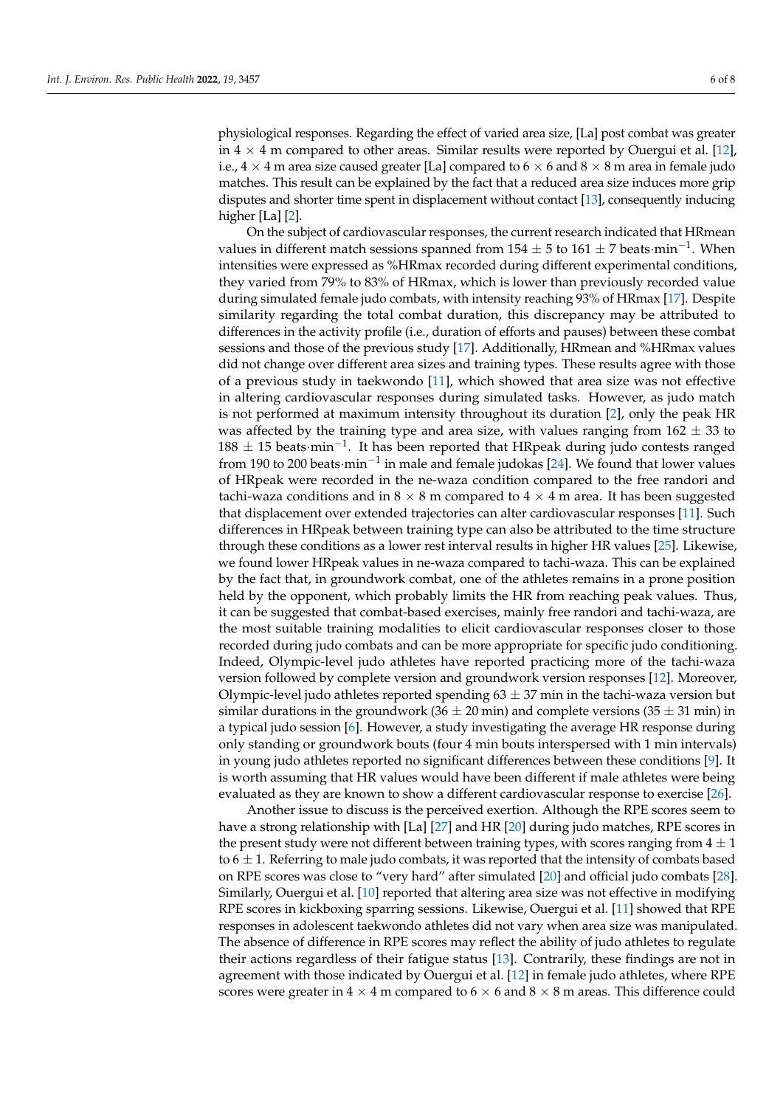physiological responses. Regarding the effect of varied area size, [La] post combat was greater in  $4 \times 4$  m compared to other areas. Similar results were reported by Ouergui et al. [\[12\]](#page-7-9), i.e.,  $4 \times 4$  m area size caused greater [La] compared to  $6 \times 6$  and  $8 \times 8$  m area in female judo matches. This result can be explained by the fact that a reduced area size induces more grip disputes and shorter time spent in displacement without contact [\[13\]](#page-7-10), consequently inducing higher [La] [\[2\]](#page-6-1).

On the subject of cardiovascular responses, the current research indicated that HRmean values in different match sessions spanned from  $154 \pm 5$  to  $161 \pm 7$  beats·min<sup>-1</sup>. When intensities were expressed as %HRmax recorded during different experimental conditions, they varied from 79% to 83% of HRmax, which is lower than previously recorded value during simulated female judo combats, with intensity reaching 93% of HRmax [\[17\]](#page-7-14). Despite similarity regarding the total combat duration, this discrepancy may be attributed to differences in the activity profile (i.e., duration of efforts and pauses) between these combat sessions and those of the previous study [\[17\]](#page-7-14). Additionally, HRmean and %HRmax values did not change over different area sizes and training types. These results agree with those of a previous study in taekwondo [\[11\]](#page-7-8), which showed that area size was not effective in altering cardiovascular responses during simulated tasks. However, as judo match is not performed at maximum intensity throughout its duration [\[2\]](#page-6-1), only the peak HR was affected by the training type and area size, with values ranging from  $162 \pm 33$  to  $188 \pm 15$  beats·min<sup>-1</sup>. It has been reported that HRpeak during judo contests ranged from 190 to 200 beats·min−<sup>1</sup> in male and female judokas [\[24\]](#page-7-21). We found that lower values of HRpeak were recorded in the ne-waza condition compared to the free randori and tachi-waza conditions and in  $8 \times 8$  m compared to  $4 \times 4$  m area. It has been suggested that displacement over extended trajectories can alter cardiovascular responses [\[11\]](#page-7-8). Such differences in HRpeak between training type can also be attributed to the time structure through these conditions as a lower rest interval results in higher HR values [\[25\]](#page-7-22). Likewise, we found lower HRpeak values in ne-waza compared to tachi-waza. This can be explained by the fact that, in groundwork combat, one of the athletes remains in a prone position held by the opponent, which probably limits the HR from reaching peak values. Thus, it can be suggested that combat-based exercises, mainly free randori and tachi-waza, are the most suitable training modalities to elicit cardiovascular responses closer to those recorded during judo combats and can be more appropriate for specific judo conditioning. Indeed, Olympic-level judo athletes have reported practicing more of the tachi-waza version followed by complete version and groundwork version responses [\[12\]](#page-7-9). Moreover, Olympic-level judo athletes reported spending  $63 \pm 37$  min in the tachi-waza version but similar durations in the groundwork (36  $\pm$  20 min) and complete versions (35  $\pm$  31 min) in a typical judo session [\[6\]](#page-7-3). However, a study investigating the average HR response during only standing or groundwork bouts (four 4 min bouts interspersed with 1 min intervals) in young judo athletes reported no significant differences between these conditions [\[9\]](#page-7-6). It is worth assuming that HR values would have been different if male athletes were being evaluated as they are known to show a different cardiovascular response to exercise [\[26\]](#page-7-23).

Another issue to discuss is the perceived exertion. Although the RPE scores seem to have a strong relationship with [La] [\[27\]](#page-7-24) and HR [\[20\]](#page-7-17) during judo matches, RPE scores in the present study were not different between training types, with scores ranging from  $4 \pm 1$ to  $6 \pm 1$ . Referring to male judo combats, it was reported that the intensity of combats based on RPE scores was close to "very hard" after simulated [\[20\]](#page-7-17) and official judo combats [\[28\]](#page-7-25). Similarly, Ouergui et al. [\[10\]](#page-7-7) reported that altering area size was not effective in modifying RPE scores in kickboxing sparring sessions. Likewise, Ouergui et al. [\[11\]](#page-7-8) showed that RPE responses in adolescent taekwondo athletes did not vary when area size was manipulated. The absence of difference in RPE scores may reflect the ability of judo athletes to regulate their actions regardless of their fatigue status [\[13\]](#page-7-10). Contrarily, these findings are not in agreement with those indicated by Ouergui et al. [\[12\]](#page-7-9) in female judo athletes, where RPE scores were greater in  $4 \times 4$  m compared to  $6 \times 6$  and  $8 \times 8$  m areas. This difference could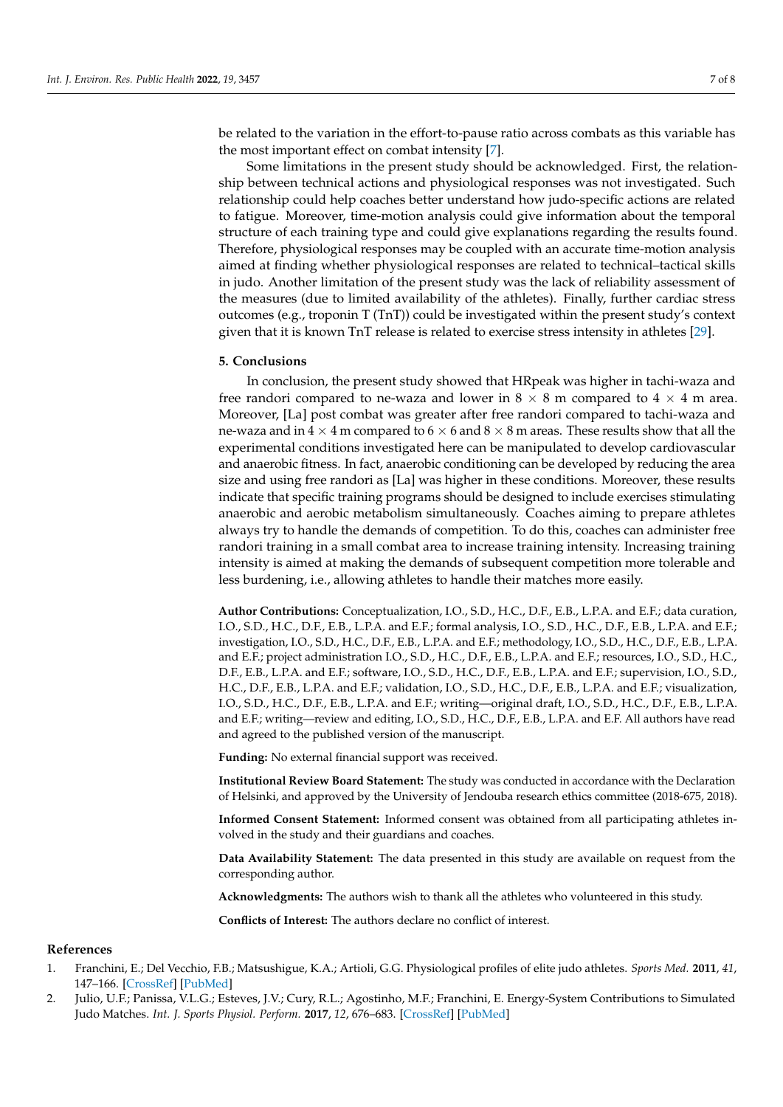be related to the variation in the effort-to-pause ratio across combats as this variable has the most important effect on combat intensity [\[7\]](#page-7-4).

Some limitations in the present study should be acknowledged. First, the relationship between technical actions and physiological responses was not investigated. Such relationship could help coaches better understand how judo-specific actions are related to fatigue. Moreover, time-motion analysis could give information about the temporal structure of each training type and could give explanations regarding the results found. Therefore, physiological responses may be coupled with an accurate time-motion analysis aimed at finding whether physiological responses are related to technical–tactical skills in judo. Another limitation of the present study was the lack of reliability assessment of the measures (due to limited availability of the athletes). Finally, further cardiac stress outcomes (e.g., troponin T (TnT)) could be investigated within the present study's context given that it is known TnT release is related to exercise stress intensity in athletes [\[29\]](#page-7-26).

#### **5. Conclusions**

In conclusion, the present study showed that HRpeak was higher in tachi-waza and free randori compared to ne-waza and lower in  $8 \times 8$  m compared to  $4 \times 4$  m area. Moreover, [La] post combat was greater after free randori compared to tachi-waza and ne-waza and in  $4 \times 4$  m compared to  $6 \times 6$  and  $8 \times 8$  m areas. These results show that all the experimental conditions investigated here can be manipulated to develop cardiovascular and anaerobic fitness. In fact, anaerobic conditioning can be developed by reducing the area size and using free randori as [La] was higher in these conditions. Moreover, these results indicate that specific training programs should be designed to include exercises stimulating anaerobic and aerobic metabolism simultaneously. Coaches aiming to prepare athletes always try to handle the demands of competition. To do this, coaches can administer free randori training in a small combat area to increase training intensity. Increasing training intensity is aimed at making the demands of subsequent competition more tolerable and less burdening, i.e., allowing athletes to handle their matches more easily.

**Author Contributions:** Conceptualization, I.O., S.D., H.C., D.F., E.B., L.P.A. and E.F.; data curation, I.O., S.D., H.C., D.F., E.B., L.P.A. and E.F.; formal analysis, I.O., S.D., H.C., D.F., E.B., L.P.A. and E.F.; investigation, I.O., S.D., H.C., D.F., E.B., L.P.A. and E.F.; methodology, I.O., S.D., H.C., D.F., E.B., L.P.A. and E.F.; project administration I.O., S.D., H.C., D.F., E.B., L.P.A. and E.F.; resources, I.O., S.D., H.C., D.F., E.B., L.P.A. and E.F.; software, I.O., S.D., H.C., D.F., E.B., L.P.A. and E.F.; supervision, I.O., S.D., H.C., D.F., E.B., L.P.A. and E.F.; validation, I.O., S.D., H.C., D.F., E.B., L.P.A. and E.F.; visualization, I.O., S.D., H.C., D.F., E.B., L.P.A. and E.F.; writing—original draft, I.O., S.D., H.C., D.F., E.B., L.P.A. and E.F.; writing—review and editing, I.O., S.D., H.C., D.F., E.B., L.P.A. and E.F. All authors have read and agreed to the published version of the manuscript.

**Funding:** No external financial support was received.

**Institutional Review Board Statement:** The study was conducted in accordance with the Declaration of Helsinki, and approved by the University of Jendouba research ethics committee (2018-675, 2018).

**Informed Consent Statement:** Informed consent was obtained from all participating athletes involved in the study and their guardians and coaches.

**Data Availability Statement:** The data presented in this study are available on request from the corresponding author.

**Acknowledgments:** The authors wish to thank all the athletes who volunteered in this study.

**Conflicts of Interest:** The authors declare no conflict of interest.

## **References**

- <span id="page-6-0"></span>1. Franchini, E.; Del Vecchio, F.B.; Matsushigue, K.A.; Artioli, G.G. Physiological profiles of elite judo athletes. *Sports Med.* **2011**, *41*, 147–166. [\[CrossRef\]](http://doi.org/10.2165/11538580-000000000-00000) [\[PubMed\]](http://www.ncbi.nlm.nih.gov/pubmed/21244106)
- <span id="page-6-1"></span>2. Julio, U.F.; Panissa, V.L.G.; Esteves, J.V.; Cury, R.L.; Agostinho, M.F.; Franchini, E. Energy-System Contributions to Simulated Judo Matches. *Int. J. Sports Physiol. Perform.* **2017**, *12*, 676–683. [\[CrossRef\]](http://doi.org/10.1123/ijspp.2015-0750) [\[PubMed\]](http://www.ncbi.nlm.nih.gov/pubmed/27736247)